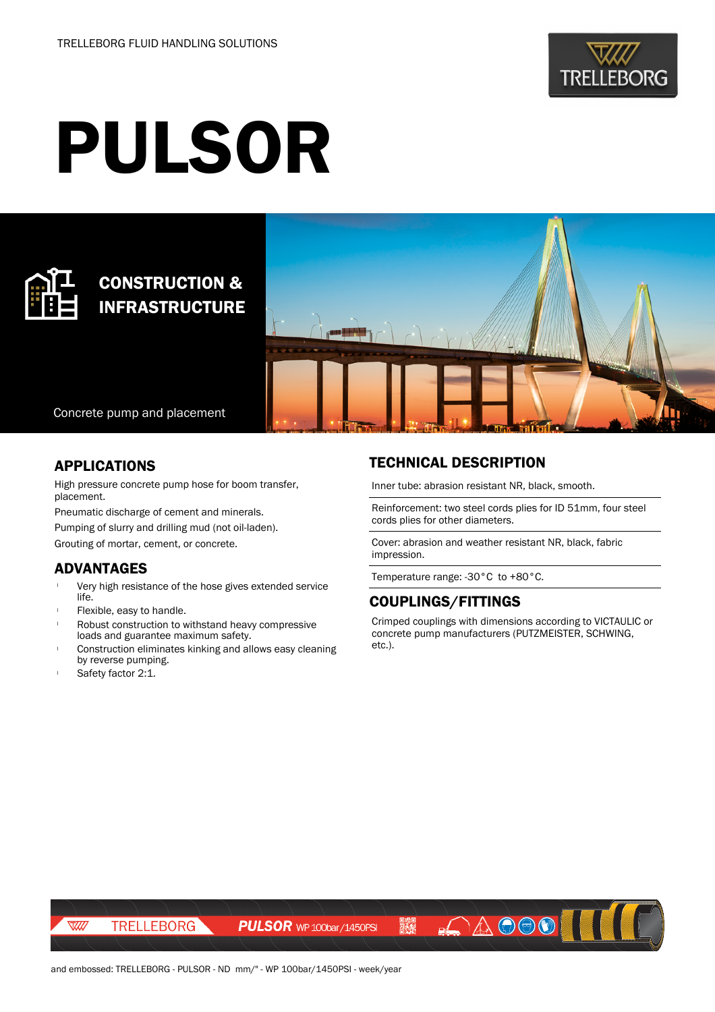

# PULSOR



# CONSTRUCTION & INFRASTRUCTURE



Concrete pump and placement

#### APPLICATIONS

High pressure concrete pump hose for boom transfer, placement.

Pneumatic discharge of cement and minerals.

Pumping of slurry and drilling mud (not oil-laden).

Grouting of mortar, cement, or concrete.

### ADVANTAGES

- Very high resistance of the hose gives extended service life.
- Flexible, easy to handle.
- Robust construction to withstand heavy compressive loads and guarantee maximum safety.
- Construction eliminates kinking and allows easy cleaning by reverse pumping.
- Safety factor 2:1.

## TECHNICAL DESCRIPTION

Inner tube: abrasion resistant NR, black, smooth.

Reinforcement: two steel cords plies for ID 51mm, four steel cords plies for other diameters.

Cover: abrasion and weather resistant NR, black, fabric impression.

Temperature range: -30°C to +80°C.

#### COUPLINGS/FITTINGS

Crimped couplings with dimensions according to VICTAULIC or concrete pump manufacturers (PUTZMEISTER, SCHWING, etc.).

AOOO IN

TRELLEBORG

 $\overline{\mathbb{W}}$ 

**PULSOR** WP 100bar / 1450PSI

飝